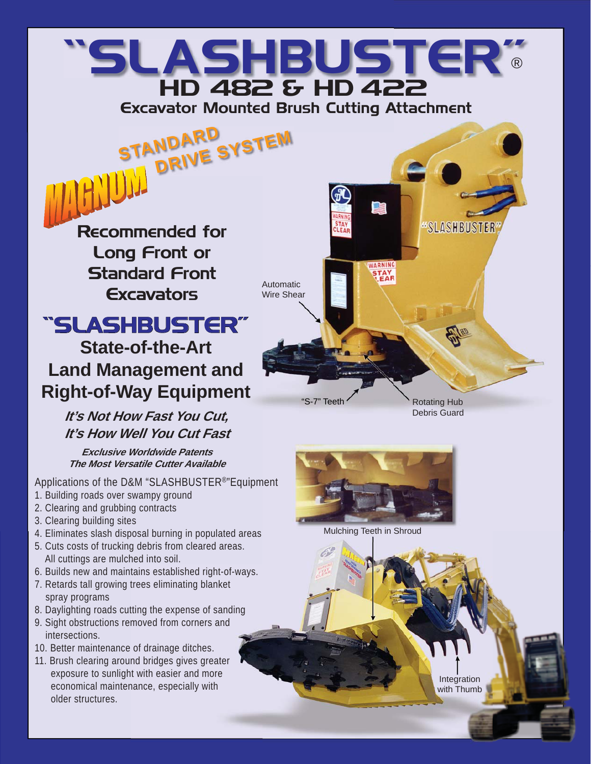## "SLASHBUSTER" HD 482 & HD 422 Excavator Mounted Brush Cutting Attachment ®

Automatic Wire Shear

Recommended for Long Front or Standard Front **Excavators** 

STANDARD<br>DRIVE SYSTEM

## "SLASHBUSTER" **State-of-the-Art Land Management and Right-of-Way Equipment**

**It's Not How Fast You Cut, It's How Well You Cut Fast**

**Exclusive Worldwide Patents The Most Versatile Cutter Available** 

Applications of the D&M "SLASHBUSTER®"Equipment

- 1. Building roads over swampy ground
- 2. Clearing and grubbing contracts
- 3. Clearing building sites
- 4. Eliminates slash disposal burning in populated areas
- 5. Cuts costs of trucking debris from cleared areas. All cuttings are mulched into soil.
- 6. Builds new and maintains established right-of-ways.
- 7. Retards tall growing trees eliminating blanket spray programs
- 8. Daylighting roads cutting the expense of sanding
- 9. Sight obstructions removed from corners and intersections.
- 10. Better maintenance of drainage ditches.
- 11. Brush clearing around bridges gives greater exposure to sunlight with easier and more economical maintenance, especially with older structures.

'S-7" Teeth

Rotating Hub Debris Guard

**SLASHBUSTER** 



Mulching Teeth in Shroud

Integration with Thumb